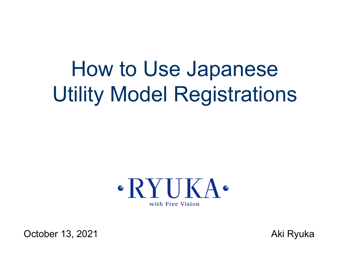# How to Use Japanese Utility Model Registrations



October 13, 2021 **Aki Ryuka** Aki Ryuka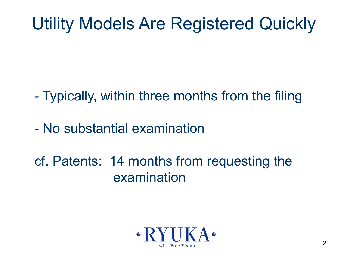# Utility Models Are Registered Quickly

- Typically, within three months from the filing
- No substantial examination
- cf. Patents: 14 months from requesting the examination

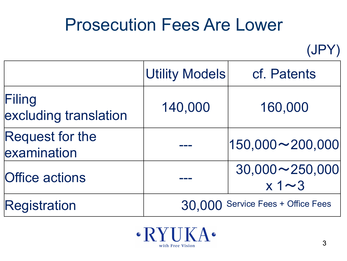### Prosecution Fees Are Lower

(JPY)

|                                       | <b>Utility Models</b>             | cf. Patents                           |
|---------------------------------------|-----------------------------------|---------------------------------------|
| Filing<br>excluding translation       | 140,000                           | 160,000                               |
| <b>Request for the</b><br>examination |                                   | $ 150,000 \sim 200,000 $              |
| <b>Office actions</b>                 |                                   | $30,000 \sim 250,000$<br>$x 1 \sim 3$ |
| Registration                          | 30,000 Service Fees + Office Fees |                                       |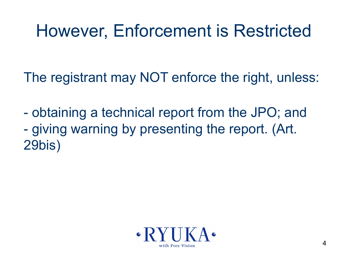### However, Enforcement is Restricted

The registrant may NOT enforce the right, unless:

- obtaining a technical report from the JPO; and - giving warning by presenting the report. (Art. 29bis)

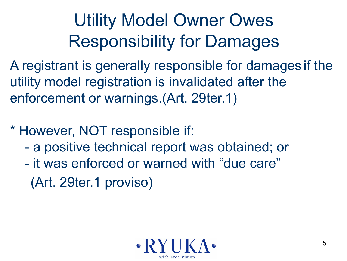# Utility Model Owner Owes Responsibility for Damages

A registrant is generally responsible for damages if the utility model registration is invalidated after the enforcement or warnings.(Art. 29ter.1)

- \* However, NOT responsible if:
	- a positive technical report was obtained; or
	- it was enforced or warned with "due care" (Art. 29ter.1 proviso)

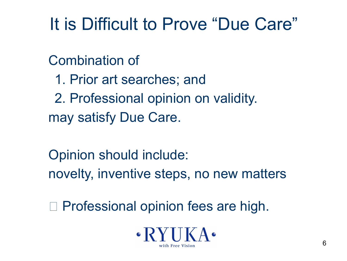## It is Difficult to Prove "Due Care"

Combination of

- 1. Prior art searches; and
- 2. Professional opinion on validity. may satisfy Due Care.
- Opinion should include: novelty, inventive steps, no new matters

□ Professional opinion fees are high.

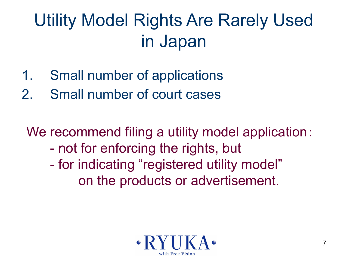# Utility Model Rights Are Rarely Used in Japan

- 1. Small number of applications
- 2. Small number of court cases

We recommend filing a utility model application: - not for enforcing the rights, but

- for indicating "registered utility model" on the products or advertisement.

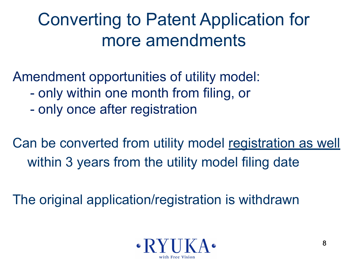# Converting to Patent Application for more amendments

Amendment opportunities of utility model:

- only within one month from filing, or
- only once after registration

Can be converted from utility model registration as well within 3 years from the utility model filing date

The original application/registration is withdrawn

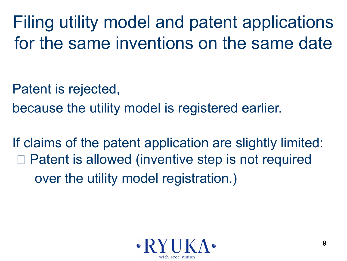Filing utility model and patent applications for the same inventions on the same date

Patent is rejected,

because the utility model is registered earlier.

If claims of the patent application are slightly limited: Patent is allowed (inventive step is not required over the utility model registration.)